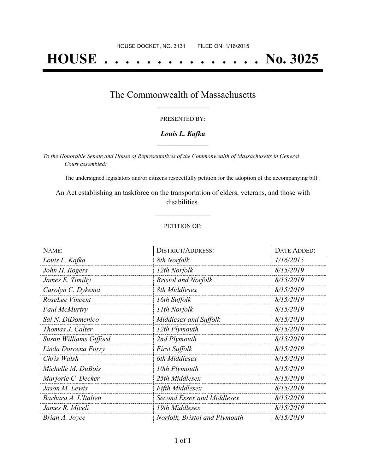# **HOUSE . . . . . . . . . . . . . . . No. 3025**

### The Commonwealth of Massachusetts **\_\_\_\_\_\_\_\_\_\_\_\_\_\_\_\_\_**

#### PRESENTED BY:

#### *Louis L. Kafka* **\_\_\_\_\_\_\_\_\_\_\_\_\_\_\_\_\_**

*To the Honorable Senate and House of Representatives of the Commonwealth of Massachusetts in General Court assembled:*

The undersigned legislators and/or citizens respectfully petition for the adoption of the accompanying bill:

An Act establishing an taskforce on the transportation of elders, veterans, and those with disabilities.

**\_\_\_\_\_\_\_\_\_\_\_\_\_\_\_**

#### PETITION OF:

| NAME:                  | <b>DISTRICT/ADDRESS:</b>      | DATE ADDED: |
|------------------------|-------------------------------|-------------|
| Louis L. Kafka         | 8th Norfolk                   | 1/16/2015   |
| John H. Rogers         | 12th Norfolk                  | 8/15/2019   |
| James E. Timilty       | <b>Bristol and Norfolk</b>    | 8/15/2019   |
| Carolyn C. Dykema      | 8th Middlesex                 | 8/15/2019   |
| RoseLee Vincent        | 16th Suffolk                  | 8/15/2019   |
| Paul McMurtry          | 11th Norfolk                  | 8/15/2019   |
| Sal N. DiDomenico      | Middlesex and Suffolk         | 8/15/2019   |
| Thomas J. Calter       | 12th Plymouth                 | 8/15/2019   |
| Susan Williams Gifford | 2nd Plymouth                  | 8/15/2019   |
| Linda Dorcena Forry    | <b>First Suffolk</b>          | 8/15/2019   |
| Chris Walsh            | 6th Middlesex                 | 8/15/2019   |
| Michelle M. DuBois     | 10th Plymouth                 | 8/15/2019   |
| Marjorie C. Decker     | 25th Middlesex                | 8/15/2019   |
| Jason M. Lewis         | <b>Fifth Middlesex</b>        | 8/15/2019   |
| Barbara A. L'Italien   | Second Essex and Middlesex    | 8/15/2019   |
| James R. Miceli        | 19th Middlesex                | 8/15/2019   |
| Brian A. Joyce         | Norfolk, Bristol and Plymouth | 8/15/2019   |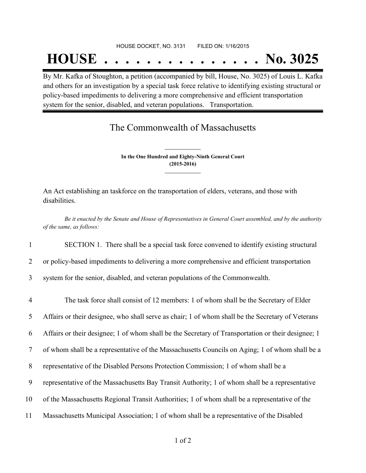## **HOUSE . . . . . . . . . . . . . . . No. 3025**

By Mr. Kafka of Stoughton, a petition (accompanied by bill, House, No. 3025) of Louis L. Kafka and others for an investigation by a special task force relative to identifying existing structural or policy-based impediments to delivering a more comprehensive and efficient transportation system for the senior, disabled, and veteran populations. Transportation.

## The Commonwealth of Massachusetts

**In the One Hundred and Eighty-Ninth General Court (2015-2016) \_\_\_\_\_\_\_\_\_\_\_\_\_\_\_**

**\_\_\_\_\_\_\_\_\_\_\_\_\_\_\_**

An Act establishing an taskforce on the transportation of elders, veterans, and those with disabilities.

Be it enacted by the Senate and House of Representatives in General Court assembled, and by the authority *of the same, as follows:*

1 SECTION 1. There shall be a special task force convened to identify existing structural

2 or policy-based impediments to delivering a more comprehensive and efficient transportation

3 system for the senior, disabled, and veteran populations of the Commonwealth.

 The task force shall consist of 12 members: 1 of whom shall be the Secretary of Elder Affairs or their designee, who shall serve as chair; 1 of whom shall be the Secretary of Veterans Affairs or their designee; 1 of whom shall be the Secretary of Transportation or their designee; 1 of whom shall be a representative of the Massachusetts Councils on Aging; 1 of whom shall be a representative of the Disabled Persons Protection Commission; 1 of whom shall be a representative of the Massachusetts Bay Transit Authority; 1 of whom shall be a representative of the Massachusetts Regional Transit Authorities; 1 of whom shall be a representative of the Massachusetts Municipal Association; 1 of whom shall be a representative of the Disabled